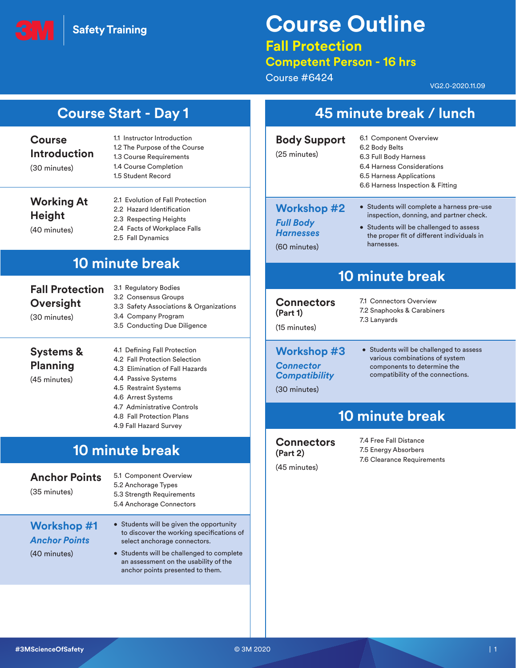**Safety Training** 

# **Course Outline**

### **Fall Protection**

### **Competent Person - 16 hrs**

Course #6424

VG2.0-2020.11.09

| <b>Course</b><br><b>Introduction</b><br>(30 minutes)       | 1.1 Instructor Introduction<br>1.2 The Purpose of the Course<br>1.3 Course Requirements<br>1.4 Course Completion<br>1.5 Student Record                                                                                                          | <b>Body Support</b><br>(25 minutes)                                            | 6.1 Component Overview<br>6.2 Body Belts<br>6.3 Full Body Harness<br>6.4 Harness Considerations<br>6.5 Harness Applications<br>6.6 Harness Inspection & Fitting                              |
|------------------------------------------------------------|-------------------------------------------------------------------------------------------------------------------------------------------------------------------------------------------------------------------------------------------------|--------------------------------------------------------------------------------|----------------------------------------------------------------------------------------------------------------------------------------------------------------------------------------------|
| <b>Working At</b><br><b>Height</b><br>(40 minutes)         | 2.1 Evolution of Fall Protection<br>2.2 Hazard Identification<br>2.3 Respecting Heights<br>2.4 Facts of Workplace Falls<br>2.5 Fall Dynamics                                                                                                    | <b>Workshop #2</b><br><b>Full Body</b><br><b>Harnesses</b><br>(60 minutes)     | • Students will complete a harness pre-use<br>inspection, donning, and partner check.<br>• Students will be challenged to assess<br>the proper fit of different individuals in<br>harnesses. |
|                                                            | <b>10 minute break</b>                                                                                                                                                                                                                          |                                                                                | <b>10 minute break</b>                                                                                                                                                                       |
| <b>Fall Protection</b><br>Oversight<br>(30 minutes)        | 3.1 Regulatory Bodies<br>3.2 Consensus Groups<br>3.3 Safety Associations & Organizations<br>3.4 Company Program<br>3.5 Conducting Due Diligence                                                                                                 | <b>Connectors</b><br>(Part 1)<br>(15 minutes)                                  | 7.1 Connectors Overview<br>7.2 Snaphooks & Carabiners<br>7.3 Lanyards                                                                                                                        |
| <b>Systems &amp;</b><br><b>Planning</b><br>(45 minutes)    | 4.1 Defining Fall Protection<br>4.2 Fall Protection Selection<br>4.3 Elimination of Fall Hazards<br>4.4 Passive Systems<br>4.5 Restraint Systems<br>4.6 Arrest Systems                                                                          | <b>Workshop #3</b><br><b>Connector</b><br><b>Compatibility</b><br>(30 minutes) | • Students will be challenged to assess<br>various combinations of system<br>components to determine the<br>compatibility of the connections.                                                |
|                                                            | 4.7 Administrative Controls<br>4.8 Fall Protection Plans<br>4.9 Fall Hazard Survey                                                                                                                                                              |                                                                                | <b>10 minute break</b>                                                                                                                                                                       |
| <b>Anchor Points</b><br>(35 minutes)                       | <b>10 minute break</b><br>5.1 Component Overview<br>5.2 Anchorage Types<br>5.3 Strength Requirements<br>5.4 Anchorage Connectors                                                                                                                | <b>Connectors</b><br>(Part 2)<br>(45 minutes)                                  | 7.4 Free Fall Distance<br>7.5 Energy Absorbers<br>7.6 Clearance Requirements                                                                                                                 |
| <b>Workshop #1</b><br><b>Anchor Points</b><br>(40 minutes) | • Students will be given the opportunity<br>to discover the working specifications of<br>select anchorage connectors.<br>• Students will be challenged to complete<br>an assessment on the usability of the<br>anchor points presented to them. |                                                                                |                                                                                                                                                                                              |
|                                                            |                                                                                                                                                                                                                                                 |                                                                                |                                                                                                                                                                                              |
| #3MScienceOfSafety                                         |                                                                                                                                                                                                                                                 | © 3M 2020                                                                      |                                                                                                                                                                                              |
|                                                            |                                                                                                                                                                                                                                                 |                                                                                |                                                                                                                                                                                              |
|                                                            |                                                                                                                                                                                                                                                 |                                                                                |                                                                                                                                                                                              |

## **Course Start - Day 1 45 minute break / lunch**

| <b>Body Support</b><br>(25 minutes)                                        | 6.1 Component Overview<br>6.2 Body Belts<br>6.3 Full Body Harness<br>6.4 Harness Considerations<br>6.5 Harness Applications<br>6.6 Harness Inspection & Fitting                              |
|----------------------------------------------------------------------------|----------------------------------------------------------------------------------------------------------------------------------------------------------------------------------------------|
| <b>Workshop #2</b><br><b>Full Body</b><br><b>Harnesses</b><br>(60 minutes) | • Students will complete a harness pre-use<br>inspection, donning, and partner check.<br>• Students will be challenged to assess<br>the proper fit of different individuals in<br>harnesses. |

## **10 minute break**

### **Cons**